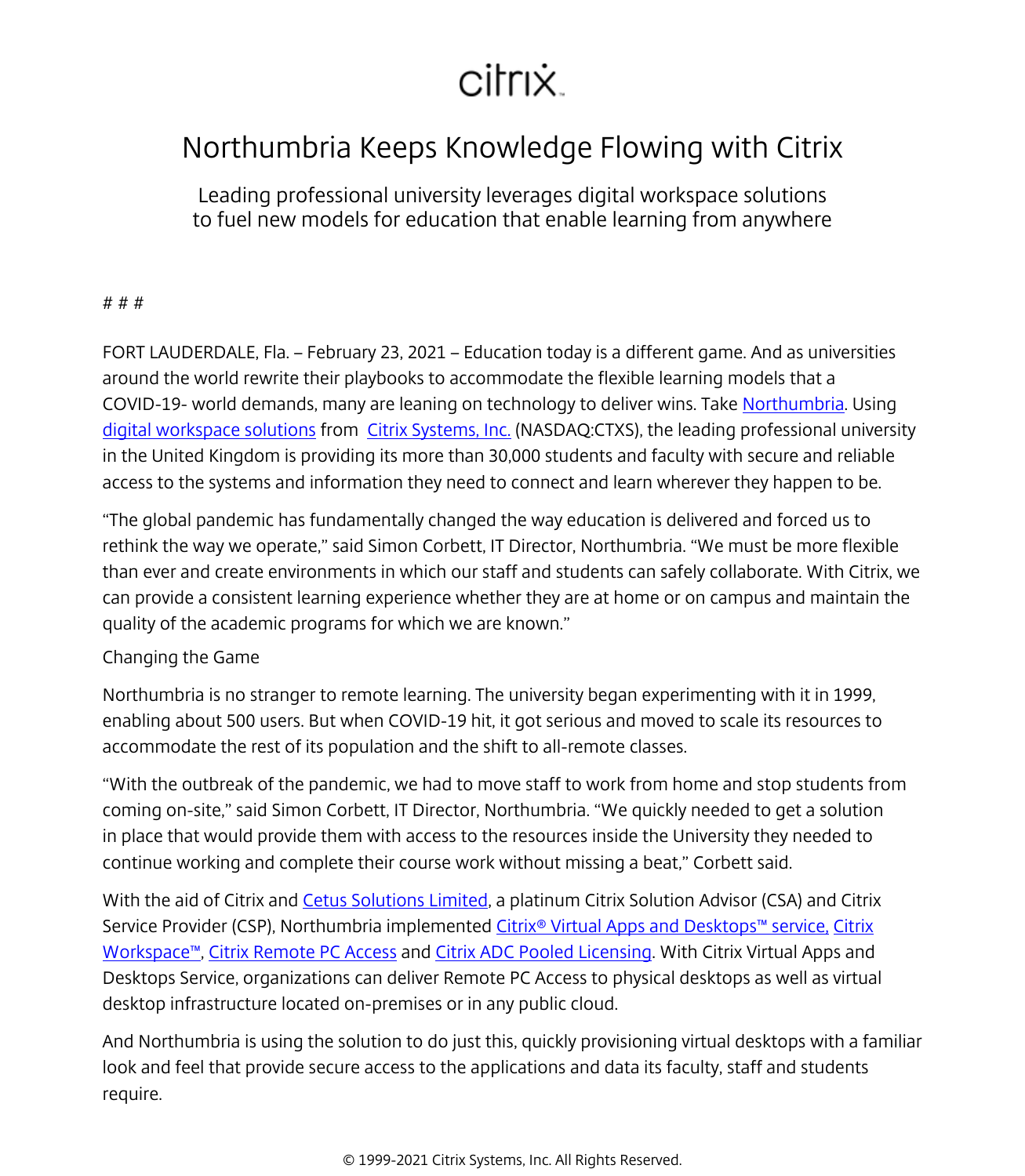## citrix.

## Northumbria Keeps Knowledge Flowing with Citrix

Leading professional university leverages digital workspace solutions to fuel new models for education that enable learning from anywhere

## # # #

FORT LAUDERDALE, Fla. – February 23, 2021 – Education today is a different game. And as universities around the world rewrite their playbooks to accommodate the flexible learning models that a COVID-19- world demands, many are leaning on technology to deliver wins. Take [Northumbria.](/content/citrix/en-gb/customers/northumbria-university-en.html) Using [digital workspace solutions](/content/citrix/en-gb/products.html) from [Citrix Systems, Inc.](/content/citrix/en-gb/
            .html) (NASDAQ:CTXS), the leading professional university in the United Kingdom is providing its more than 30,000 students and faculty with secure and reliable access to the systems and information they need to connect and learn wherever they happen to be.

"The global pandemic has fundamentally changed the way education is delivered and forced us to rethink the way we operate," said Simon Corbett, IT Director, Northumbria. "We must be more flexible than ever and create environments in which our staff and students can safely collaborate. With Citrix, we can provide a consistent learning experience whether they are at home or on campus and maintain the quality of the academic programs for which we are known."

## Changing the Game

Northumbria is no stranger to remote learning. The university began experimenting with it in 1999, enabling about 500 users. But when COVID-19 hit, it got serious and moved to scale its resources to accommodate the rest of its population and the shift to all-remote classes.

"With the outbreak of the pandemic, we had to move staff to work from home and stop students from coming on-site," said Simon Corbett, IT Director, Northumbria. "We quickly needed to get a solution in place that would provide them with access to the resources inside the University they needed to continue working and complete their course work without missing a beat," Corbett said.

With the aid of Citrix and [Cetus Solutions Limited,](https://cetus-solutions.com/) a platinum Citrix Solution Advisor (CSA) and Citrix Service Provider (CSP), Northumbria implemented [Citrix® Virtual Apps and Desktops™ service,](/content/citrix/en-gb/products/citrix-virtual-apps-and-desktops/
            .html) [Citrix](/content/citrix/en-gb/products/citrix-workspace/
            .html) [Workspace™,](/content/citrix/en-gb/products/citrix-workspace/
            .html) [Citrix Remote PC Access](/content/citrix/en-gb/blogs/2020/04/30/keep-your-business-moving-with-new-citrix-remote-pc-access-offerings/
            .html) and [Citrix ADC Pooled Licensing.](https://www.citrix.com/blogs/2020/04/27/four-citrix-adc-licensing-technologies-that-power-rapid-responses/) With Citrix Virtual Apps and Desktops Service, organizations can deliver Remote PC Access to physical desktops as well as virtual desktop infrastructure located on-premises or in any public cloud.

And Northumbria is using the solution to do just this, quickly provisioning virtual desktops with a familiar look and feel that provide secure access to the applications and data its faculty, staff and students require.